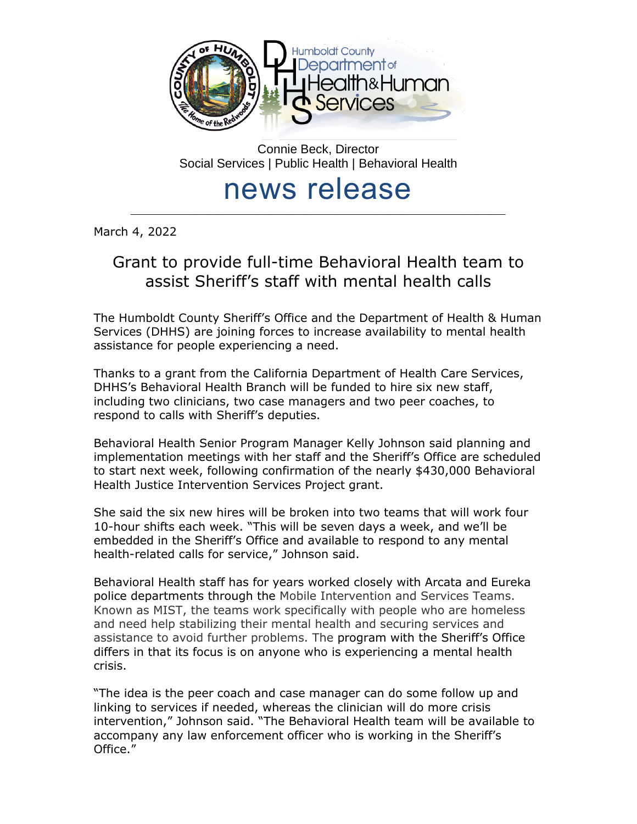

Connie Beck, Director Social Services | Public Health | Behavioral Health

## news release \_\_\_\_\_\_\_\_\_\_\_\_\_\_\_\_\_\_\_\_\_\_\_\_\_\_\_\_\_\_\_\_\_\_\_\_\_\_\_\_\_\_\_\_\_\_\_\_\_\_\_\_\_\_\_\_\_\_\_\_\_\_\_\_\_\_\_\_\_\_\_\_\_\_\_\_\_\_\_\_\_

March 4, 2022

## Grant to provide full-time Behavioral Health team to assist Sheriff's staff with mental health calls

The Humboldt County Sheriff's Office and the Department of Health & Human Services (DHHS) are joining forces to increase availability to mental health assistance for people experiencing a need.

Thanks to a grant from the California Department of Health Care Services, DHHS's Behavioral Health Branch will be funded to hire six new staff, including two clinicians, two case managers and two peer coaches, to respond to calls with Sheriff's deputies.

Behavioral Health Senior Program Manager Kelly Johnson said planning and implementation meetings with her staff and the Sheriff's Office are scheduled to start next week, following confirmation of the nearly \$430,000 Behavioral Health Justice Intervention Services Project grant.

She said the six new hires will be broken into two teams that will work four 10-hour shifts each week. "This will be seven days a week, and we'll be embedded in the Sheriff's Office and available to respond to any mental health-related calls for service," Johnson said.

Behavioral Health staff has for years worked closely with Arcata and Eureka police departments through the Mobile Intervention and Services Teams. Known as MIST, the teams work specifically with people who are homeless and need help stabilizing their mental health and securing services and assistance to avoid further problems. The program with the Sheriff's Office differs in that its focus is on anyone who is experiencing a mental health crisis.

"The idea is the peer coach and case manager can do some follow up and linking to services if needed, whereas the clinician will do more crisis intervention," Johnson said. "The Behavioral Health team will be available to accompany any law enforcement officer who is working in the Sheriff's Office."